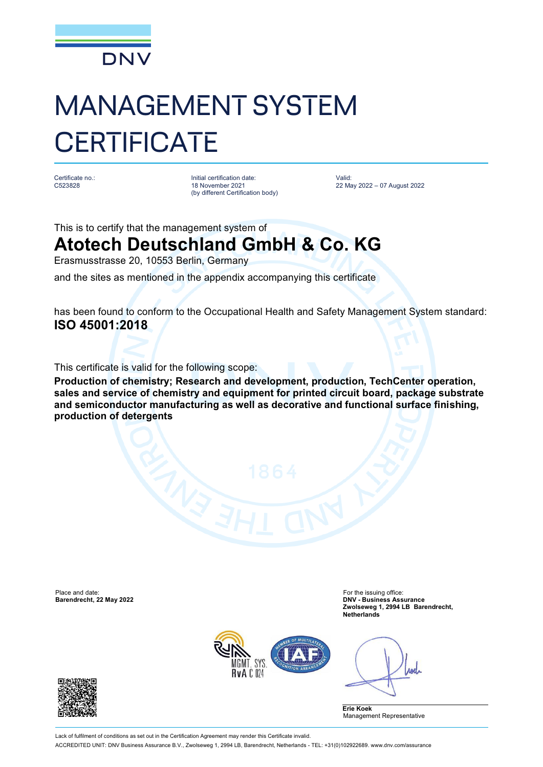

# MANAGEMENT SYSTEM **CERTIFICATE**

Certificate no.: C523828

Initial certification date: 18 November 2021 (by different Certification body) Valid: 22 May 2022 – 07 August 2022

This is to certify that the management system of

## **Atotech Deutschland GmbH & Co. KG**

Erasmusstrasse 20, 10553 Berlin, Germany

and the sites as mentioned in the appendix accompanying this certificate

has been found to conform to the Occupational Health and Safety Management System standard: **ISO 45001:2018**

This certificate is valid for the following scope:

**Production of chemistry; Research and development, production, TechCenter operation, sales and service of chemistry and equipment for printed circuit board, package substrate and semiconductor manufacturing as well as decorative and functional surface finishing, production of detergents**

Place and date: For the issuing office: For the issuing office: For the issuing office:

**Barendrecht, 22 May 2022 DNV - Business Assurance Zwolseweg 1, 2994 LB Barendrecht, Netherlands**



Anel

**Erie Koek** Management Representative

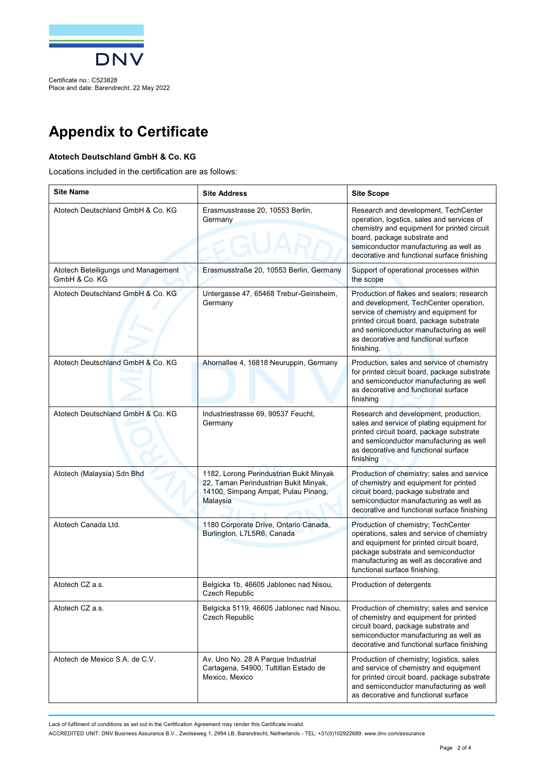

Certificate no.: C523828 Place and date: Barendrecht, 22 May 2022

### **Appendix to Certificate**

#### **Atotech Deutschland GmbH & Co. KG**

Locations included in the certification are as follows:

| <b>Site Name</b>                                     | <b>Site Address</b>                                                                                                                 | <b>Site Scope</b>                                                                                                                                                                                                                                                           |
|------------------------------------------------------|-------------------------------------------------------------------------------------------------------------------------------------|-----------------------------------------------------------------------------------------------------------------------------------------------------------------------------------------------------------------------------------------------------------------------------|
| Atotech Deutschland GmbH & Co. KG                    | Erasmusstrasse 20, 10553 Berlin,<br>Germany                                                                                         | Research and development, TechCenter<br>operation, logstics, sales and services of<br>chemistry and equipment for printed circuit<br>board, package substrate and<br>semiconductor manufacturing as well as<br>decorative and functional surface finishing                  |
| Atotech Beteiligungs und Management<br>GmbH & Co. KG | Erasmusstraße 20, 10553 Berlin, Germany                                                                                             | Support of operational processes within<br>the scope                                                                                                                                                                                                                        |
| Atotech Deutschland GmbH & Co. KG                    | Untergasse 47, 65468 Trebur-Geinsheim,<br>Germany                                                                                   | Production of flakes and sealers; research<br>and development, TechCenter operation,<br>service of chemistry and equipment for<br>printed circuit board, package substrate<br>and semiconductor manufacturing as well<br>as decorative and functional surface<br>finishing. |
| Atotech Deutschland GmbH & Co. KG                    | Ahornallee 4, 16818 Neuruppin, Germany                                                                                              | Production, sales and service of chemistry<br>for printed circuit board, package substrate<br>and semiconductor manufacturing as well<br>as decorative and functional surface<br>finishing                                                                                  |
| Atotech Deutschland GmbH & Co. KG                    | Industriestrasse 69, 90537 Feucht,<br>Germany                                                                                       | Research and development, production,<br>sales and service of plating equipment for<br>printed circuit board, package substrate<br>and semiconductor manufacturing as well<br>as decorative and functional surface<br>finishing                                             |
| Atotech (Malaysia) Sdn Bhd                           | 1182, Lorong Perindustrian Bukit Minyak<br>22, Taman Perindustrian Bukit Minyak,<br>14100, Simpang Ampat, Pulau Pinang,<br>Malaysia | Production of chemistry; sales and service<br>of chemistry and equipment for printed<br>circuit board, package substrate and<br>semiconductor manufacturing as well as<br>decorative and functional surface finishing                                                       |
| Atotech Canada Ltd.                                  | 1180 Corporate Drive, Ontario Canada,<br>Burlington, L7L5R6, Canada                                                                 | Production of chemistry; TechCenter<br>operations, sales and service of chemistry<br>and equipment for printed circuit board,<br>package substrate and semiconductor<br>manufacturing as well as decorative and<br>functional surface finishing.                            |
| Atotech CZ a.s.                                      | Belgicka 1b, 46605 Jablonec nad Nisou,<br>Czech Republic                                                                            | Production of detergents                                                                                                                                                                                                                                                    |
| Atotech CZ a.s.                                      | Belgicka 5119, 46605 Jablonec nad Nisou,<br><b>Czech Republic</b>                                                                   | Production of chemistry; sales and service<br>of chemistry and equipment for printed<br>circuit board, package substrate and<br>semiconductor manufacturing as well as<br>decorative and functional surface finishing                                                       |
| Atotech de Mexico S.A. de C.V.                       | Av. Uno No. 28 A Parque Industrial<br>Cartagena, 54900, Tultitlan Estado de<br>Mexico, Mexico                                       | Production of chemistry; logistics, sales<br>and service of chemistry and equipment<br>for printed circuit board, package substrate<br>and semiconductor manufacturing as well<br>as decorative and functional surface                                                      |

Lack of fulfilment of conditions as set out in the Certification Agreement may render this Certificate invalid.

ACCREDITED UNIT: DNV Business Assurance B.V., Zwolseweg 1, 2994 LB, Barendrecht, Netherlands - TEL: +31(0)102922689. [www.dnv.com/assurance](http://www.dnv.com/assurance)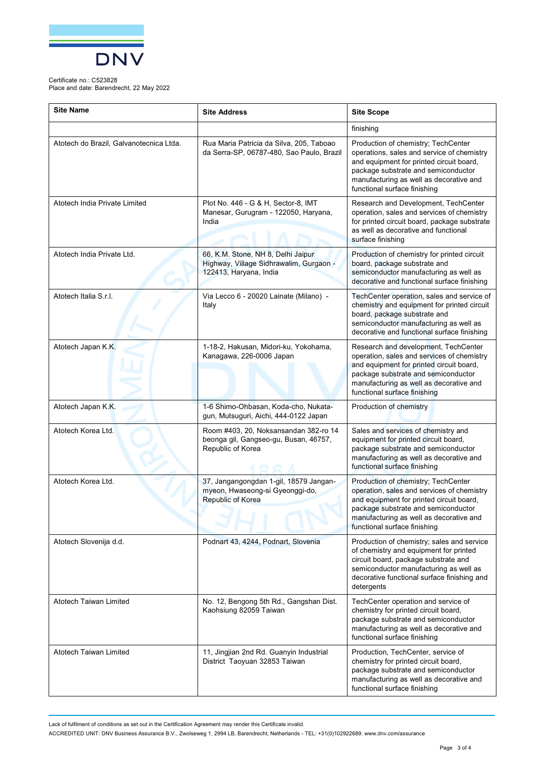

#### Certificate no.: C523828

Place and date: Barendrecht, 22 May 2022

| <b>Site Name</b>                        | <b>Site Address</b>                                                                                     | <b>Site Scope</b>                                                                                                                                                                                                                                |
|-----------------------------------------|---------------------------------------------------------------------------------------------------------|--------------------------------------------------------------------------------------------------------------------------------------------------------------------------------------------------------------------------------------------------|
|                                         |                                                                                                         | finishing                                                                                                                                                                                                                                        |
| Atotech do Brazil, Galvanotecnica Ltda. | Rua Maria Patricia da Silva, 205, Taboao<br>da Serra-SP, 06787-480, Sao Paulo, Brazil                   | Production of chemistry; TechCenter<br>operations, sales and service of chemistry<br>and equipment for printed circuit board,<br>package substrate and semiconductor<br>manufacturing as well as decorative and<br>functional surface finishing  |
| Atotech India Private Limited           | Plot No. 446 - G & H, Sector-8, IMT<br>Manesar, Gurugram - 122050, Haryana,<br>India                    | Research and Development, TechCenter<br>operation, sales and services of chemistry<br>for printed circuit board, package substrate<br>as well as decorative and functional<br>surface finishing                                                  |
| Atotech India Private Ltd.              | 66, K.M. Stone, NH 8, Delhi Jaipur<br>Highway, Village Sidhrawalim, Gurgaon -<br>122413, Haryana, India | Production of chemistry for printed circuit<br>board, package substrate and<br>semiconductor manufacturing as well as<br>decorative and functional surface finishing                                                                             |
| Atotech Italia S.r.I.                   | Via Lecco 6 - 20020 Lainate (Milano) -<br>Italy                                                         | TechCenter operation, sales and service of<br>chemistry and equipment for printed circuit<br>board, package substrate and<br>semiconductor manufacturing as well as<br>decorative and functional surface finishing                               |
| Atotech Japan K.K.                      | 1-18-2, Hakusan, Midori-ku, Yokohama,<br>Kanagawa, 226-0006 Japan                                       | Research and development, TechCenter<br>operation, sales and services of chemistry<br>and equipment for printed circuit board,<br>package substrate and semiconductor<br>manufacturing as well as decorative and<br>functional surface finishing |
| Atotech Japan K.K.                      | 1-6 Shimo-Ohbasan, Koda-cho, Nukata-<br>gun, Mutsuguri, Aichi, 444-0122 Japan                           | Production of chemistry                                                                                                                                                                                                                          |
| Atotech Korea Ltd.                      | Room #403, 20, Noksansandan 382-ro 14<br>beonga gil, Gangseo-gu, Busan, 46757,<br>Republic of Korea     | Sales and services of chemistry and<br>equipment for printed circuit board,<br>package substrate and semiconductor<br>manufacturing as well as decorative and<br>functional surface finishing                                                    |
| Atotech Korea Ltd.                      | 37, Jangangongdan 1-gil, 18579 Jangan-<br>myeon, Hwaseong-si Gyeonggi-do,<br>Republic of Korea          | Production of chemistry; TechCenter<br>operation, sales and services of chemistry<br>and equipment for printed circuit board,<br>package substrate and semiconductor<br>manufacturing as well as decorative and<br>functional surface finishing  |
| Atotech Slovenija d.d.                  | Podnart 43, 4244, Podnart, Slovenia                                                                     | Production of chemistry; sales and service<br>of chemistry and equipment for printed<br>circuit board, package substrate and<br>semiconductor manufacturing as well as<br>decorative functional surface finishing and<br>detergents              |
| Atotech Taiwan Limited                  | No. 12, Bengong 5th Rd., Gangshan Dist.<br>Kaohsiung 82059 Taiwan                                       | TechCenter operation and service of<br>chemistry for printed circuit board,<br>package substrate and semiconductor<br>manufacturing as well as decorative and<br>functional surface finishing                                                    |
| Atotech Taiwan Limited                  | 11, Jingjian 2nd Rd. Guanyin Industrial<br>District Taoyuan 32853 Taiwan                                | Production, TechCenter, service of<br>chemistry for printed circuit board,<br>package substrate and semiconductor<br>manufacturing as well as decorative and<br>functional surface finishing                                                     |

Lack of fulfilment of conditions as set out in the Certification Agreement may render this Certificate invalid.

ACCREDITED UNIT: DNV Business Assurance B.V., Zwolseweg 1, 2994 LB, Barendrecht, Netherlands - TEL: +31(0)102922689. [www.dnv.com/assurance](http://www.dnv.com/assurance)